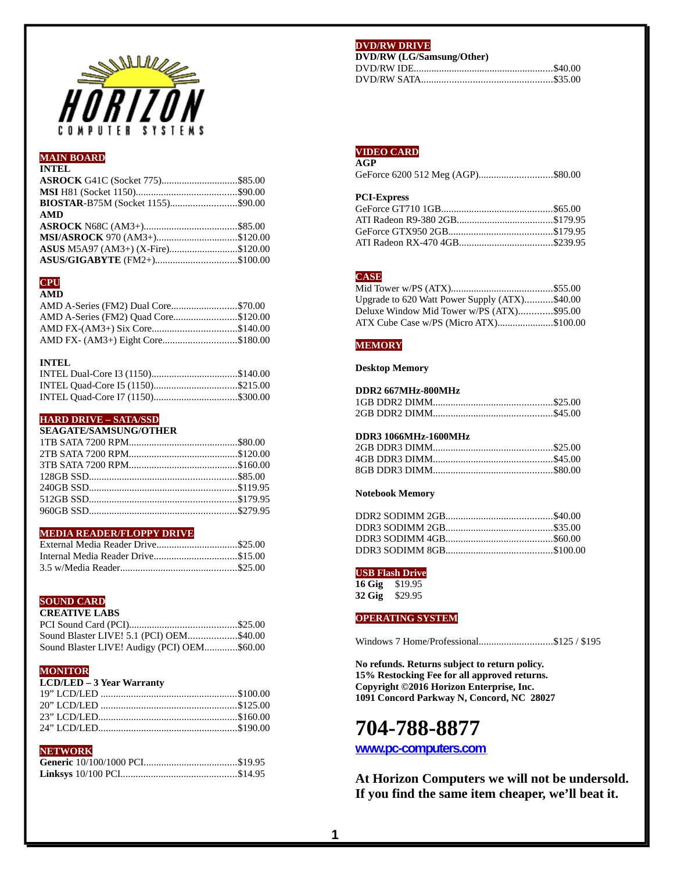

# **MAIN BOARD**

# **INTEL**

| BIOSTAR-B75M (Socket 1155)\$90.00  |  |
|------------------------------------|--|
| <b>AMD</b>                         |  |
|                                    |  |
|                                    |  |
| MSI/ASROCK 970 (AM3+)\$120.00      |  |
| ASUS M5A97 (AM3+) (X-Fire)\$120.00 |  |

# **CPU**

# **AMD**

| AMD A-Series (FM2) Dual Core\$70.00  |  |
|--------------------------------------|--|
| AMD A-Series (FM2) Quad Core\$120.00 |  |
| AMD FX-(AM3+) Six Core\$140.00       |  |
| AMD FX- (AM3+) Eight Core\$180.00    |  |

## **INTEL**

| INTEL Dual-Core I3 (1150)\$140.00 |
|-----------------------------------|
| INTEL Quad-Core 15 (1150)\$215.00 |
|                                   |

# **HARD DRIVE - SATA/SSD**

**SEAGATE/SAMSUNG/OTHER**

## **MEDIA READER/FLOPPY DRIVE**

| External Media Reader Drive\$25.00 |  |
|------------------------------------|--|
| Internal Media Reader Drive\$15.00 |  |
|                                    |  |

# **SOUND CARD**

# **CREATIVE LABS**

| Sound Blaster LIVE! 5.1 (PCI) OEM\$40.00    |  |
|---------------------------------------------|--|
| Sound Blaster LIVE! Audigy (PCI) OEM\$60.00 |  |

# **MONITOR**

| <b>LCD/LED - 3 Year Warranty</b> |  |
|----------------------------------|--|
|                                  |  |
|                                  |  |
|                                  |  |
|                                  |  |

## **NETWORK**

# **DVD/RW DRIVE**

| DVD/RW (LG/Samsung/Other) |  |
|---------------------------|--|
|                           |  |
|                           |  |

#### **VIDEO CARD AGP**

| . |                                   |
|---|-----------------------------------|
|   | GeForce 6200 512 Meg (AGP)\$80.00 |

## **PCI-Express**

## **CASE**

| Upgrade to 620 Watt Power Supply (ATX)\$40.00 |  |
|-----------------------------------------------|--|
| Deluxe Window Mid Tower w/PS (ATX)\$95.00     |  |
| ATX Cube Case w/PS (Micro ATX)\$100.00        |  |

## **MEMORY**

## **Desktop Memory**

## **DDR2 667MHz-800MHz**

# **DDR3 1066MHz-1600MHz**

#### **Notebook Memory**

## **USB Flash Drive**

**16 Gig** \$19.95 **32 Gig** \$29.95

## **OPERATING SYSTEM**

Windows 7 Home/Professional.............................\$125 / \$195

**No refunds. Returns subject to return policy. 15% Restocking Fee for all approved returns. Copyright ©2016 Horizon Enterprise, Inc. 1091 Concord Parkway N, Concord, NC 28027**

# **704-788-8877**

**[www.pc-computers.com](http://www.pc-computers.com/)**

**At Horizon Computers we will not be undersold. If you find the same item cheaper, we'll beat it.**